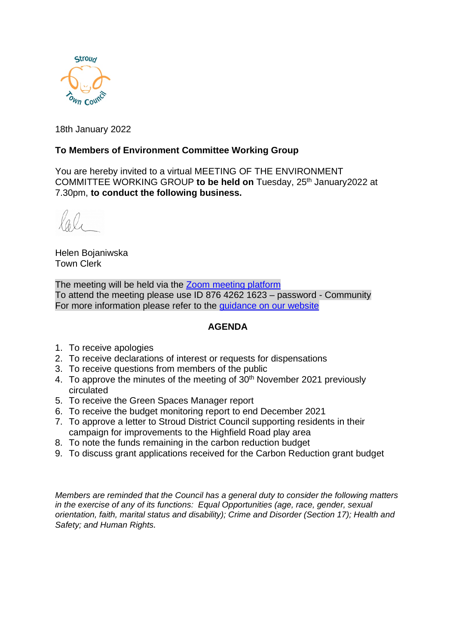

18th January 2022

## **To Members of Environment Committee Working Group**

You are hereby invited to a virtual MEETING OF THE ENVIRONMENT COMMITTEE WORKING GROUP to be held on Tuesday, 25<sup>th</sup> January2022 at 7.30pm, **to conduct the following business.**

Helen Bojaniwska Town Clerk

The meeting will be held via the [Zoom meeting platform](https://www.zoom.us/join) To attend the meeting please use ID 876 4262 1623 – password - Community For more information please refer to the [guidance on our website](https://www.stroudtown.gov.uk/uploads/taking-part-in-an-stc-zoom-meeting-april-2020.pdf)

#### **AGENDA**

- 1. To receive apologies
- 2. To receive declarations of interest or requests for dispensations
- 3. To receive questions from members of the public
- 4. To approve the minutes of the meeting of 30<sup>th</sup> November 2021 previously circulated
- 5. To receive the Green Spaces Manager report
- 6. To receive the budget monitoring report to end December 2021
- 7. To approve a letter to Stroud District Council supporting residents in their campaign for improvements to the Highfield Road play area
- 8. To note the funds remaining in the carbon reduction budget
- 9. To discuss grant applications received for the Carbon Reduction grant budget

*Members are reminded that the Council has a general duty to consider the following matters in the exercise of any of its functions: Equal Opportunities (age, race, gender, sexual orientation, faith, marital status and disability); Crime and Disorder (Section 17); Health and Safety; and Human Rights.*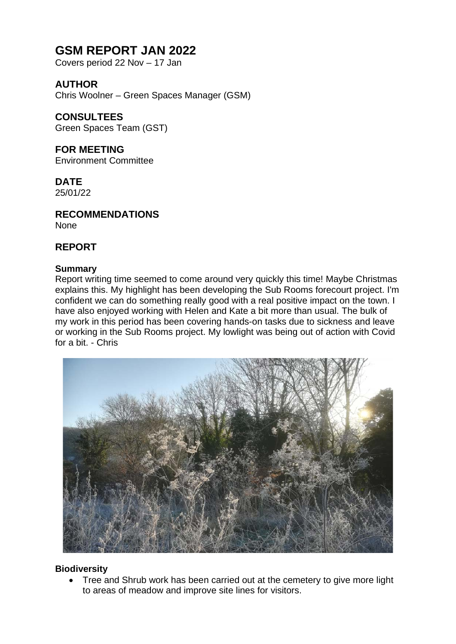## **GSM REPORT JAN 2022**

Covers period 22 Nov – 17 Jan

## **AUTHOR**

Chris Woolner – Green Spaces Manager (GSM)

## **CONSULTEES**

Green Spaces Team (GST)

#### **FOR MEETING**  Environment Committee

## **DATE**

25/01/22

## **RECOMMENDATIONS**

None

## **REPORT**

#### **Summary**

Report writing time seemed to come around very quickly this time! Maybe Christmas explains this. My highlight has been developing the Sub Rooms forecourt project. I'm confident we can do something really good with a real positive impact on the town. I have also enjoyed working with Helen and Kate a bit more than usual. The bulk of my work in this period has been covering hands-on tasks due to sickness and leave or working in the Sub Rooms project. My lowlight was being out of action with Covid for a bit. - Chris



## **Biodiversity**

• Tree and Shrub work has been carried out at the cemetery to give more light to areas of meadow and improve site lines for visitors.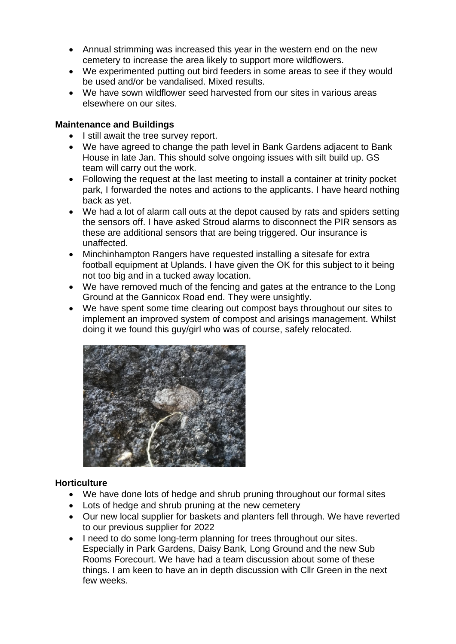- Annual strimming was increased this year in the western end on the new cemetery to increase the area likely to support more wildflowers.
- We experimented putting out bird feeders in some areas to see if they would be used and/or be vandalised. Mixed results.
- We have sown wildflower seed harvested from our sites in various areas elsewhere on our sites.

#### **Maintenance and Buildings**

- I still await the tree survey report.
- We have agreed to change the path level in Bank Gardens adjacent to Bank House in late Jan. This should solve ongoing issues with silt build up. GS team will carry out the work.
- Following the request at the last meeting to install a container at trinity pocket park, I forwarded the notes and actions to the applicants. I have heard nothing back as yet.
- We had a lot of alarm call outs at the depot caused by rats and spiders setting the sensors off. I have asked Stroud alarms to disconnect the PIR sensors as these are additional sensors that are being triggered. Our insurance is unaffected.
- Minchinhampton Rangers have requested installing a sitesafe for extra football equipment at Uplands. I have given the OK for this subject to it being not too big and in a tucked away location.
- We have removed much of the fencing and gates at the entrance to the Long Ground at the Gannicox Road end. They were unsightly.
- We have spent some time clearing out compost bays throughout our sites to implement an improved system of compost and arisings management. Whilst doing it we found this guy/girl who was of course, safely relocated.



#### **Horticulture**

- We have done lots of hedge and shrub pruning throughout our formal sites
- Lots of hedge and shrub pruning at the new cemetery
- Our new local supplier for baskets and planters fell through. We have reverted to our previous supplier for 2022
- I need to do some long-term planning for trees throughout our sites. Especially in Park Gardens, Daisy Bank, Long Ground and the new Sub Rooms Forecourt. We have had a team discussion about some of these things. I am keen to have an in depth discussion with Cllr Green in the next few weeks.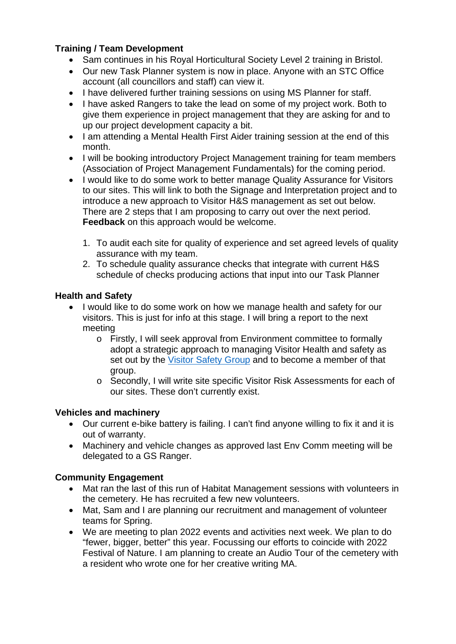## **Training / Team Development**

- Sam continues in his Royal Horticultural Society Level 2 training in Bristol.
- Our new Task Planner system is now in place. Anyone with an STC Office account (all councillors and staff) can view it.
- I have delivered further training sessions on using MS Planner for staff.
- I have asked Rangers to take the lead on some of my project work. Both to give them experience in project management that they are asking for and to up our project development capacity a bit.
- I am attending a Mental Health First Aider training session at the end of this month.
- I will be booking introductory Project Management training for team members (Association of Project Management Fundamentals) for the coming period.
- I would like to do some work to better manage Quality Assurance for Visitors to our sites. This will link to both the Signage and Interpretation project and to introduce a new approach to Visitor H&S management as set out below. There are 2 steps that I am proposing to carry out over the next period. **Feedback** on this approach would be welcome.
	- 1. To audit each site for quality of experience and set agreed levels of quality assurance with my team.
	- 2. To schedule quality assurance checks that integrate with current H&S schedule of checks producing actions that input into our Task Planner

## **Health and Safety**

- I would like to do some work on how we manage health and safety for our visitors. This is just for info at this stage. I will bring a report to the next meeting
	- o Firstly, I will seek approval from Environment committee to formally adopt a strategic approach to managing Visitor Health and safety as set out by the [Visitor Safety Group](https://www.visitorsafety.group/) and to become a member of that group.
	- o Secondly, I will write site specific Visitor Risk Assessments for each of our sites. These don't currently exist.

## **Vehicles and machinery**

- Our current e-bike battery is failing. I can't find anyone willing to fix it and it is out of warranty.
- Machinery and vehicle changes as approved last Env Comm meeting will be delegated to a GS Ranger.

## **Community Engagement**

- Mat ran the last of this run of Habitat Management sessions with volunteers in the cemetery. He has recruited a few new volunteers.
- Mat, Sam and I are planning our recruitment and management of volunteer teams for Spring.
- We are meeting to plan 2022 events and activities next week. We plan to do "fewer, bigger, better" this year. Focussing our efforts to coincide with 2022 Festival of Nature. I am planning to create an Audio Tour of the cemetery with a resident who wrote one for her creative writing MA.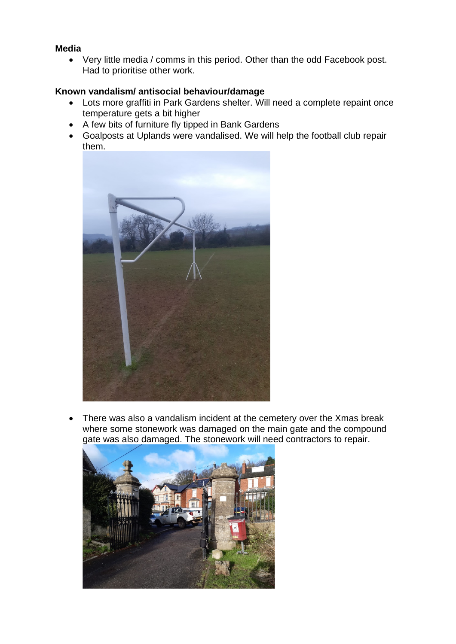### **Media**

• Very little media / comms in this period. Other than the odd Facebook post. Had to prioritise other work.

### **Known vandalism/ antisocial behaviour/damage**

- Lots more graffiti in Park Gardens shelter. Will need a complete repaint once temperature gets a bit higher
- A few bits of furniture fly tipped in Bank Gardens
- Goalposts at Uplands were vandalised. We will help the football club repair them.



• There was also a vandalism incident at the cemetery over the Xmas break where some stonework was damaged on the main gate and the compound gate was also damaged. The stonework will need contractors to repair.

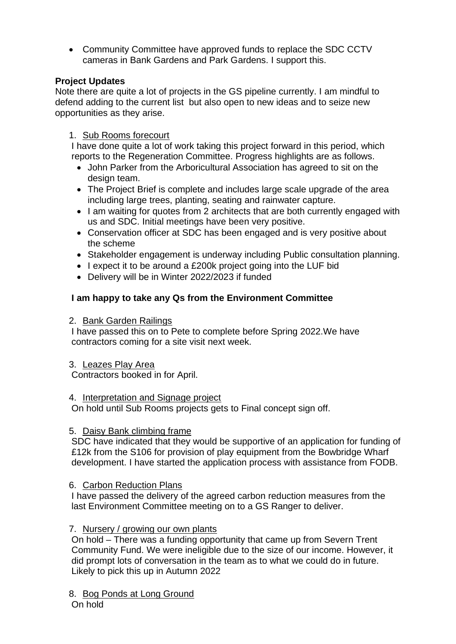• Community Committee have approved funds to replace the SDC CCTV cameras in Bank Gardens and Park Gardens. I support this.

#### **Project Updates**

Note there are quite a lot of projects in the GS pipeline currently. I am mindful to defend adding to the current list but also open to new ideas and to seize new opportunities as they arise.

#### 1. Sub Rooms forecourt

I have done quite a lot of work taking this project forward in this period, which reports to the Regeneration Committee. Progress highlights are as follows.

- John Parker from the Arboricultural Association has agreed to sit on the design team.
- The Project Brief is complete and includes large scale upgrade of the area including large trees, planting, seating and rainwater capture.
- I am waiting for quotes from 2 architects that are both currently engaged with us and SDC. Initial meetings have been very positive.
- Conservation officer at SDC has been engaged and is very positive about the scheme
- Stakeholder engagement is underway including Public consultation planning.
- I expect it to be around a £200k project going into the LUF bid
- Delivery will be in Winter 2022/2023 if funded

#### **I am happy to take any Qs from the Environment Committee**

2. Bank Garden Railings

I have passed this on to Pete to complete before Spring 2022.We have contractors coming for a site visit next week.

#### 3. Leazes Play Area

Contractors booked in for April.

#### 4. Interpretation and Signage project

On hold until Sub Rooms projects gets to Final concept sign off.

#### 5. Daisy Bank climbing frame

SDC have indicated that they would be supportive of an application for funding of £12k from the S106 for provision of play equipment from the Bowbridge Wharf development. I have started the application process with assistance from FODB.

#### 6. Carbon Reduction Plans

I have passed the delivery of the agreed carbon reduction measures from the last Environment Committee meeting on to a GS Ranger to deliver.

#### 7. Nursery / growing our own plants

On hold – There was a funding opportunity that came up from Severn Trent Community Fund. We were ineligible due to the size of our income. However, it did prompt lots of conversation in the team as to what we could do in future. Likely to pick this up in Autumn 2022

8. Bog Ponds at Long Ground

On hold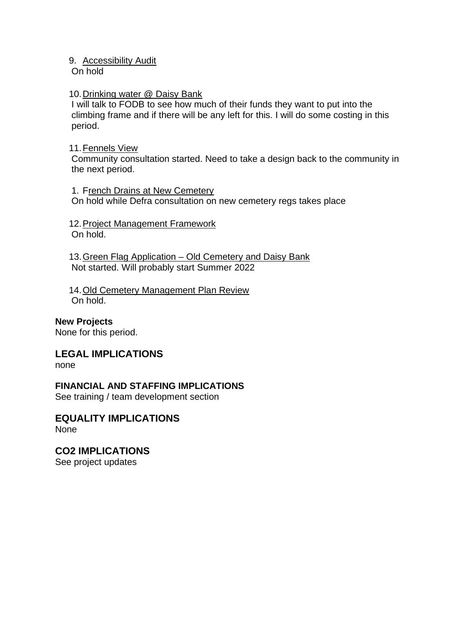#### 9. Accessibility Audit

On hold

#### 10. Drinking water @ Daisy Bank

I will talk to FODB to see how much of their funds they want to put into the climbing frame and if there will be any left for this. I will do some costing in this period.

#### 11.Fennels View

Community consultation started. Need to take a design back to the community in the next period.

1. French Drains at New Cemetery On hold while Defra consultation on new cemetery regs takes place

12. Project Management Framework On hold.

13. Green Flag Application - Old Cemetery and Daisy Bank Not started. Will probably start Summer 2022

14.Old Cemetery Management Plan Review On hold.

#### **New Projects**

None for this period.

## **LEGAL IMPLICATIONS**

none

## **FINANCIAL AND STAFFING IMPLICATIONS**

See training / team development section

#### **EQUALITY IMPLICATIONS** None

**CO2 IMPLICATIONS** See project updates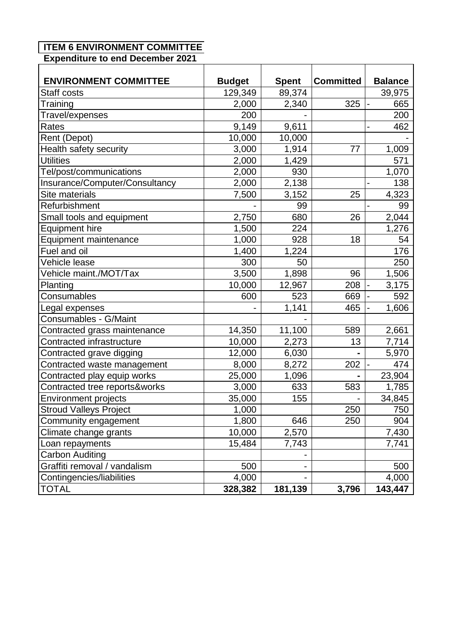# **ITEM 6 ENVIRONMENT COMMITTEE**

**Expenditure to end December 2021**

| <b>ENVIRONMENT COMMITTEE</b><br>Staff costs | <b>Budget</b><br>129,349 | <b>Spent</b><br>89,374 | <b>Committed</b> | <b>Balance</b>        |
|---------------------------------------------|--------------------------|------------------------|------------------|-----------------------|
| Training                                    | 2,000                    | 2,340                  | 325              | 39,975<br>665         |
| Travel/expenses                             | 200                      |                        |                  | 200                   |
| Rates                                       | 9,149                    | 9,611                  |                  | 462                   |
| Rent (Depot)                                | 10,000                   | 10,000                 |                  |                       |
| Health safety security                      | 3,000                    | 1,914                  | 77               | 1,009                 |
| <b>Utilities</b>                            | 2,000                    | 1,429                  |                  | 571                   |
| Tel/post/communications                     | 2,000                    | 930                    |                  | 1,070                 |
| Insurance/Computer/Consultancy              | 2,000                    | 2,138                  |                  | 138                   |
| <b>Site materials</b>                       | 7,500                    | 3,152                  | 25               | 4,323                 |
| Refurbishment                               |                          | 99                     |                  | 99<br>$\overline{a}$  |
| Small tools and equipment                   | 2,750                    | 680                    | 26               | 2,044                 |
| <b>Equipment hire</b>                       | 1,500                    | 224                    |                  | 1,276                 |
| Equipment maintenance                       | 1,000                    | 928                    | 18               | 54                    |
| Fuel and oil                                | 1,400                    | 1,224                  |                  | 176                   |
| Vehicle lease                               | 300                      | 50                     |                  | 250                   |
| Vehicle maint./MOT/Tax                      | 3,500                    | 1,898                  | 96               | 1,506                 |
| Planting                                    | 10,000                   | 12,967                 | 208              | 3,175                 |
| Consumables                                 | 600                      | 523                    | 669              | 592<br>$\overline{a}$ |
| Legal expenses                              |                          | 1,141                  | 465              | 1,606                 |
| Consumables - G/Maint                       |                          |                        |                  |                       |
| Contracted grass maintenance                | 14,350                   | 11,100                 | 589              | 2,661                 |
| Contracted infrastructure                   | 10,000                   | 2,273                  | 13               | 7,714                 |
| Contracted grave digging                    | 12,000                   | 6,030                  |                  | 5,970                 |
| Contracted waste management                 | 8,000                    | 8,272                  | 202              | 474                   |
| Contracted play equip works                 | 25,000                   | 1,096                  |                  | 23,904                |
| Contracted tree reports&works               | 3,000                    | 633                    | 583              | 1,785                 |
| <b>Environment projects</b>                 | 35,000                   | 155                    |                  | 34,845                |
| <b>Stroud Valleys Project</b>               | 1,000                    |                        | 250              | 750                   |
| Community engagement                        | 1,800                    | 646                    | 250              | 904                   |
| Climate change grants                       | 10,000                   | 2,570                  |                  | 7,430                 |
| Loan repayments                             | 15,484                   | 7,743                  |                  | 7,741                 |
| <b>Carbon Auditing</b>                      |                          |                        |                  |                       |
| Graffiti removal / vandalism                | 500                      |                        |                  | 500                   |
| Contingencies/liabilities                   | 4,000                    |                        |                  | 4,000                 |
| <b>TOTAL</b>                                | 328,382                  | 181,139                | 3,796            | 143,447               |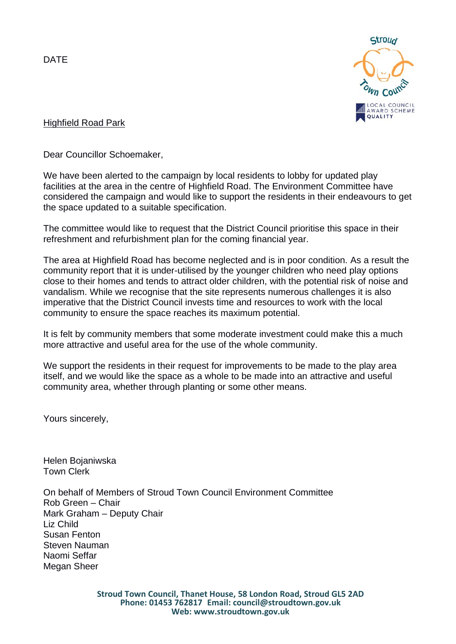DATE



### Highfield Road Park

Dear Councillor Schoemaker,

We have been alerted to the campaign by local residents to lobby for updated play facilities at the area in the centre of Highfield Road. The Environment Committee have considered the campaign and would like to support the residents in their endeavours to get the space updated to a suitable specification.

The committee would like to request that the District Council prioritise this space in their refreshment and refurbishment plan for the coming financial year.

The area at Highfield Road has become neglected and is in poor condition. As a result the community report that it is under-utilised by the younger children who need play options close to their homes and tends to attract older children, with the potential risk of noise and vandalism. While we recognise that the site represents numerous challenges it is also imperative that the District Council invests time and resources to work with the local community to ensure the space reaches its maximum potential.

It is felt by community members that some moderate investment could make this a much more attractive and useful area for the use of the whole community.

We support the residents in their request for improvements to be made to the play area itself, and we would like the space as a whole to be made into an attractive and useful community area, whether through planting or some other means.

Yours sincerely,

Helen Bojaniwska Town Clerk

On behalf of Members of Stroud Town Council Environment Committee Rob Green – Chair Mark Graham – Deputy Chair Liz Child Susan Fenton Steven Nauman Naomi Seffar Megan Sheer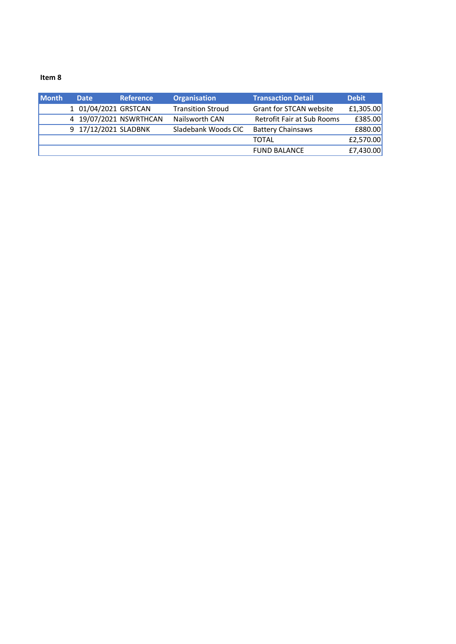#### **Item 8**

| <b>Month</b> | <b>Date</b>          | <b>Reference</b>       | <b>Organisation</b>      | <b>Transaction Detail</b>         | <b>Debit</b> |
|--------------|----------------------|------------------------|--------------------------|-----------------------------------|--------------|
|              | 1 01/04/2021 GRSTCAN |                        | <b>Transition Stroud</b> | Grant for STCAN website           | £1,305.00    |
|              |                      | 4 19/07/2021 NSWRTHCAN | Nailsworth CAN           | <b>Retrofit Fair at Sub Rooms</b> | £385.00      |
|              | 9 17/12/2021 SLADBNK |                        | Sladebank Woods CIC      | <b>Battery Chainsaws</b>          | £880.00      |
|              |                      |                        |                          | <b>TOTAL</b>                      | £2,570.00    |
|              |                      |                        |                          | <b>FUND BALANCE</b>               | £7,430.00    |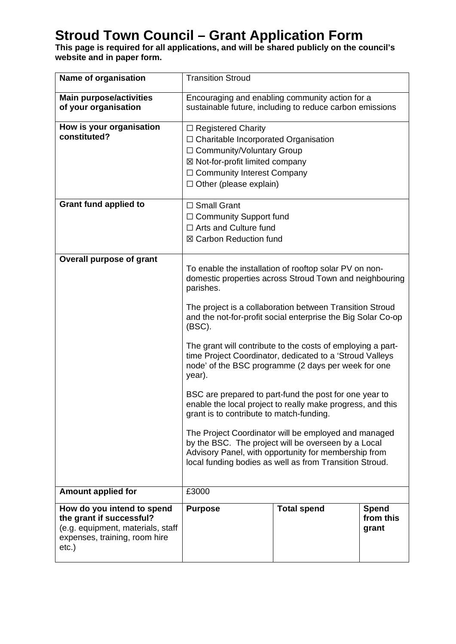# **Stroud Town Council – Grant Application Form**

**This page is required for all applications, and will be shared publicly on the council's website and in paper form.** 

| Name of organisation                                                                                                                     | <b>Transition Stroud</b>                                                                                                                                                                                                                                                                                                                                                                                                                                                                                                                                                                                                                |                    |                                    |
|------------------------------------------------------------------------------------------------------------------------------------------|-----------------------------------------------------------------------------------------------------------------------------------------------------------------------------------------------------------------------------------------------------------------------------------------------------------------------------------------------------------------------------------------------------------------------------------------------------------------------------------------------------------------------------------------------------------------------------------------------------------------------------------------|--------------------|------------------------------------|
| <b>Main purpose/activities</b><br>of your organisation                                                                                   | Encouraging and enabling community action for a<br>sustainable future, including to reduce carbon emissions                                                                                                                                                                                                                                                                                                                                                                                                                                                                                                                             |                    |                                    |
| How is your organisation<br>constituted?                                                                                                 | $\Box$ Registered Charity<br>$\Box$ Charitable Incorporated Organisation<br>□ Community/Voluntary Group<br>⊠ Not-for-profit limited company<br>□ Community Interest Company<br>$\Box$ Other (please explain)                                                                                                                                                                                                                                                                                                                                                                                                                            |                    |                                    |
| <b>Grant fund applied to</b>                                                                                                             | $\Box$ Small Grant<br>$\Box$ Community Support fund<br>□ Arts and Culture fund<br>⊠ Carbon Reduction fund                                                                                                                                                                                                                                                                                                                                                                                                                                                                                                                               |                    |                                    |
| <b>Overall purpose of grant</b>                                                                                                          | To enable the installation of rooftop solar PV on non-<br>domestic properties across Stroud Town and neighbouring<br>parishes.<br>The project is a collaboration between Transition Stroud<br>and the not-for-profit social enterprise the Big Solar Co-op<br>$(BSC)$ .<br>The grant will contribute to the costs of employing a part-<br>time Project Coordinator, dedicated to a 'Stroud Valleys<br>node' of the BSC programme (2 days per week for one<br>year).<br>BSC are prepared to part-fund the post for one year to<br>enable the local project to really make progress, and this<br>grant is to contribute to match-funding. |                    |                                    |
|                                                                                                                                          | The Project Coordinator will be employed and managed<br>by the BSC. The project will be overseen by a Local<br>Advisory Panel, with opportunity for membership from<br>local funding bodies as well as from Transition Stroud.                                                                                                                                                                                                                                                                                                                                                                                                          |                    |                                    |
| <b>Amount applied for</b>                                                                                                                | £3000                                                                                                                                                                                                                                                                                                                                                                                                                                                                                                                                                                                                                                   |                    |                                    |
| How do you intend to spend<br>the grant if successful?<br>(e.g. equipment, materials, staff<br>expenses, training, room hire<br>$etc.$ ) | <b>Purpose</b>                                                                                                                                                                                                                                                                                                                                                                                                                                                                                                                                                                                                                          | <b>Total spend</b> | <b>Spend</b><br>from this<br>grant |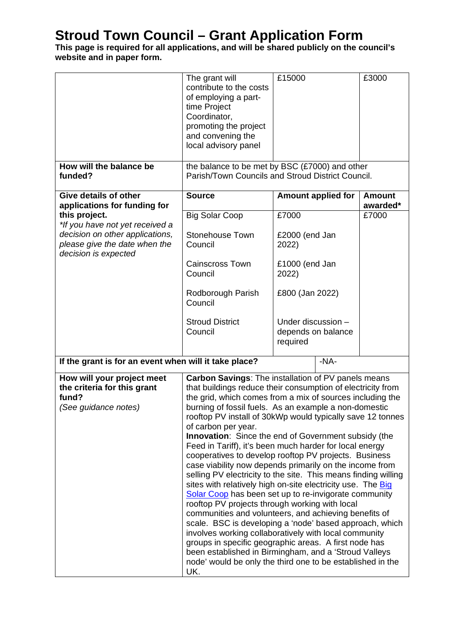## **Stroud Town Council – Grant Application Form**

#### **This page is required for all applications, and will be shared publicly on the council's website and in paper form.**

|                                                                                            | The grant will<br>contribute to the costs<br>of employing a part-<br>time Project<br>Coordinator,<br>promoting the project<br>and convening the<br>local advisory panel                                                                                                                                                                                                                                                                                                                                                                                                                                                                                                                                                                                                                                                                                                                                                                                                                                                                                                                                                                                                                     | £15000                                               | £3000                     |  |
|--------------------------------------------------------------------------------------------|---------------------------------------------------------------------------------------------------------------------------------------------------------------------------------------------------------------------------------------------------------------------------------------------------------------------------------------------------------------------------------------------------------------------------------------------------------------------------------------------------------------------------------------------------------------------------------------------------------------------------------------------------------------------------------------------------------------------------------------------------------------------------------------------------------------------------------------------------------------------------------------------------------------------------------------------------------------------------------------------------------------------------------------------------------------------------------------------------------------------------------------------------------------------------------------------|------------------------------------------------------|---------------------------|--|
| How will the balance be<br>funded?                                                         | the balance to be met by BSC (£7000) and other<br>Parish/Town Councils and Stroud District Council.                                                                                                                                                                                                                                                                                                                                                                                                                                                                                                                                                                                                                                                                                                                                                                                                                                                                                                                                                                                                                                                                                         |                                                      |                           |  |
| <b>Give details of other</b><br>applications for funding for                               | <b>Source</b>                                                                                                                                                                                                                                                                                                                                                                                                                                                                                                                                                                                                                                                                                                                                                                                                                                                                                                                                                                                                                                                                                                                                                                               | <b>Amount applied for</b>                            | <b>Amount</b><br>awarded* |  |
| this project.<br>*If you have not yet received a                                           | <b>Big Solar Coop</b>                                                                                                                                                                                                                                                                                                                                                                                                                                                                                                                                                                                                                                                                                                                                                                                                                                                                                                                                                                                                                                                                                                                                                                       | £7000                                                | £7000                     |  |
| decision on other applications,<br>please give the date when the<br>decision is expected   | Stonehouse Town<br>Council                                                                                                                                                                                                                                                                                                                                                                                                                                                                                                                                                                                                                                                                                                                                                                                                                                                                                                                                                                                                                                                                                                                                                                  | £2000 (end Jan<br>2022)                              |                           |  |
|                                                                                            | <b>Cainscross Town</b><br>Council                                                                                                                                                                                                                                                                                                                                                                                                                                                                                                                                                                                                                                                                                                                                                                                                                                                                                                                                                                                                                                                                                                                                                           | £1000 (end Jan<br>2022)                              |                           |  |
|                                                                                            | Rodborough Parish<br>Council                                                                                                                                                                                                                                                                                                                                                                                                                                                                                                                                                                                                                                                                                                                                                                                                                                                                                                                                                                                                                                                                                                                                                                | £800 (Jan 2022)                                      |                           |  |
|                                                                                            | <b>Stroud District</b><br>Council                                                                                                                                                                                                                                                                                                                                                                                                                                                                                                                                                                                                                                                                                                                                                                                                                                                                                                                                                                                                                                                                                                                                                           | Under discussion -<br>depends on balance<br>required |                           |  |
| If the grant is for an event when will it take place?                                      |                                                                                                                                                                                                                                                                                                                                                                                                                                                                                                                                                                                                                                                                                                                                                                                                                                                                                                                                                                                                                                                                                                                                                                                             | $-NA-$                                               |                           |  |
| How will your project meet<br>the criteria for this grant<br>fund?<br>(See guidance notes) | Carbon Savings: The installation of PV panels means<br>that buildings reduce their consumption of electricity from<br>the grid, which comes from a mix of sources including the<br>burning of fossil fuels. As an example a non-domestic<br>rooftop PV install of 30kWp would typically save 12 tonnes<br>of carbon per year.<br><b>Innovation:</b> Since the end of Government subsidy (the<br>Feed in Tariff), it's been much harder for local energy<br>cooperatives to develop rooftop PV projects. Business<br>case viability now depends primarily on the income from<br>selling PV electricity to the site. This means finding willing<br>sites with relatively high on-site electricity use. The Big<br>Solar Coop has been set up to re-invigorate community<br>rooftop PV projects through working with local<br>communities and volunteers, and achieving benefits of<br>scale. BSC is developing a 'node' based approach, which<br>involves working collaboratively with local community<br>groups in specific geographic areas. A first node has<br>been established in Birmingham, and a 'Stroud Valleys<br>node' would be only the third one to be established in the<br>UK. |                                                      |                           |  |